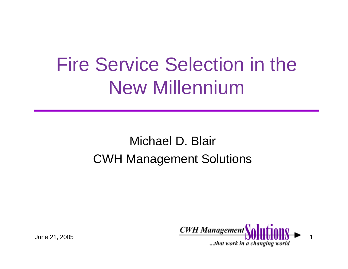# Fire Service Selection in the New Millennium

#### Michael D. Blair CWH Management Solutions

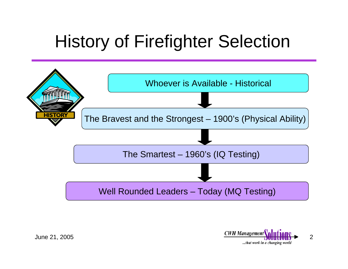### History of Firefighter Selection



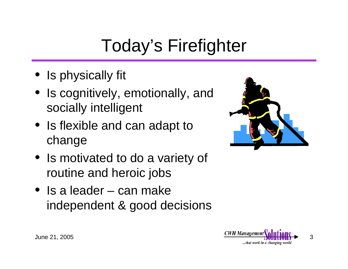# Today's Firefighter

- Is physically fit
- Is cognitively, emotionally, and socially intelligent
- Is flexible and can adapt to change
- Is motivated to do a variety of routine and heroic jobs
- Is a leader can make independent & good decisions



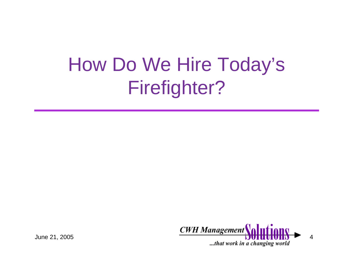# How Do We Hire Today's Firefighter?

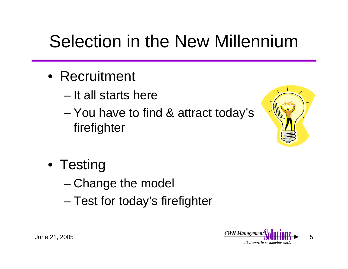### Selection in the New Millennium

- Recruitment
	- It all starts here
	- and the state of the state You have to find & attract today's firefighter



- Testing
	- and the state of the state Change the model
	- –Test for today's firefighter

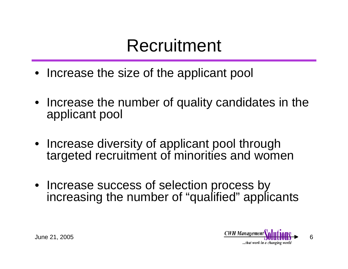### Recruitment

- Increase the size of the applicant pool
- Increase the number of quality candidates in the applicant pool
- Increase diversity of applicant pool through targeted recruitment of minorities and women
- Increase success of selection process by increasing the number of "qualified" applicants

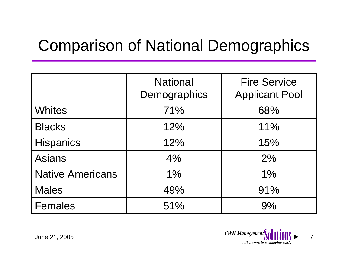#### Comparison of National Demographics

|                         | <b>National</b><br>Demographics | <b>Fire Service</b><br><b>Applicant Pool</b> |
|-------------------------|---------------------------------|----------------------------------------------|
| <b>Whites</b>           | 71%                             | 68%                                          |
| <b>Blacks</b>           | 12%                             | 11%                                          |
| <b>Hispanics</b>        | 12%                             | 15%                                          |
| <b>Asians</b>           | 4%                              | 2%                                           |
| <b>Native Americans</b> | 1%                              | 1%                                           |
| <b>Males</b>            | 49%                             | 91%                                          |
| <b>Females</b>          | 51%                             | 9%                                           |

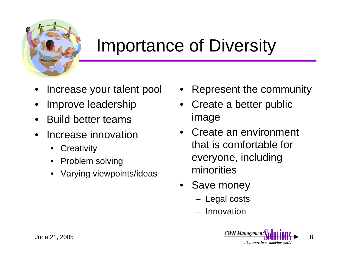

### Importance of Diversity

- •Increase your talent pool
- •Improve leadership
- $\bullet$ Build better teams
- • Increase innovation
	- •**Creativity**
	- •Problem solving
	- •Varying viewpoints/ideas
- •Represent the community
- • Create a better public image
- Create an environment that is comfortable for everyone, including minorities
- Save money
	- –Legal costs
	- Innovation

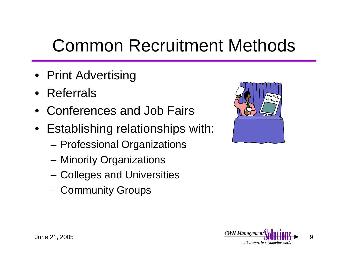### Common Recruitment Methods

- Print Advertising
- Referrals
- Conferences and Job Fairs
- Establishing relationships with:
	- **Links of the Common** Professional Organizations
	- **Links of the Common** Minority Organizations
	- **Links of the Common** Colleges and Universities
	- **Links of the Common** Community Groups



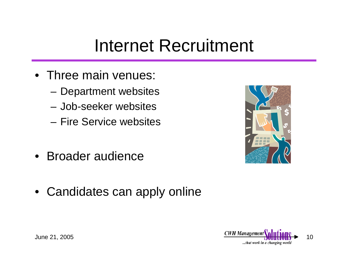### Internet Recruitment

- Three main venues:
	- **Links of the Common** Department websites
	- Job-seeker websites
	- Fire Service websites
- Broader audience



• Candidates can apply online

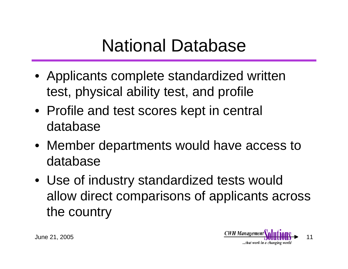### National Database

- Applicants complete standardized written test, physical ability test, and profile
- Profile and test scores kept in central database
- Member departments would have access to database
- Use of industry standardized tests would allow direct comparisons of applicants across the country

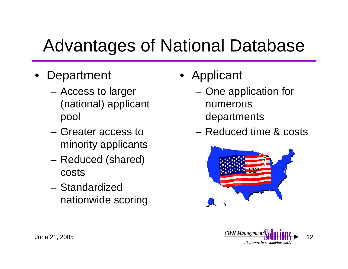### Advantages of National Database

- •**Department** 
	- **Links of the Common**  Access to larger (national) applicant pool
	- Greater access to minority applicants
	- **Links of the Common**  Reduced (shared) costs
	- Standardized nationwide scoring
- Applicant
	- **Links of the Common**  One application for numerous departments
	- Reduced time & costs



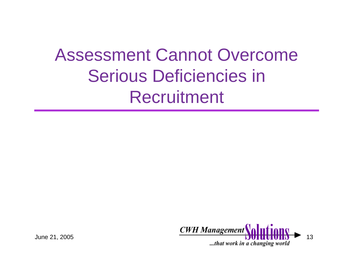### Assessment Cannot Overcome Serious Deficiencies in Recruitment

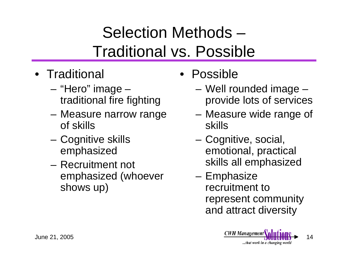#### Selection Methods – Traditional vs. Possible

- Traditional
	- – "Hero" image – traditional fire fighting
	- **Links of the Common**  Measure narrow range of skills
	- and the state of the Cognitive skills emphasized
	- Recruitment not emphasized (whoever shows up)
- Possible
	- – Well rounded image – provide lots of services
	- **Links of the Common**  Measure wide range of skills
	- and the state of the Cognitive, social, emotional, practical skills all emphasized
	- – Emphasize recruitment to represent community and attract diversity

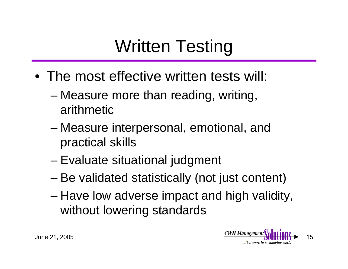## Written Testing

- The most effective written tests will:
	- – Measure more than reading, writing, arithmetic
	- and the state of the state Measure interpersonal, emotional, and practical skills
	- and the state of Evaluate situational judgment
	- and the state of the state Be validated statistically (not just content)
	- – Have low adverse impact and high validity, without lowering standards

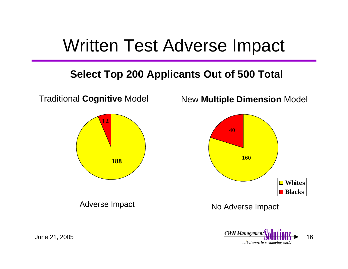#### Written Test Adverse Impact

#### **Select Top 200 Applicants Out of 500 Total**



...that work in a changing world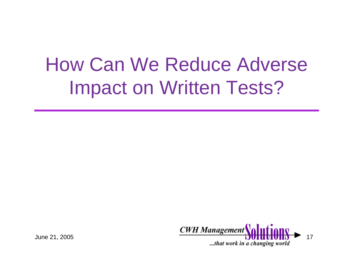# How Can We Reduce Adverse Impact on Written Tests?

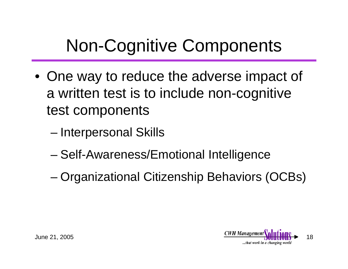### Non-Cognitive Components

- One way to reduce the adverse impact of a written test is to include non-cognitive test components
	- and the state of the state Interpersonal Skills
	- –Self-Awareness/Emotional Intelligence
	- and the state of the state Organizational Citizenship Behaviors (OCBs)

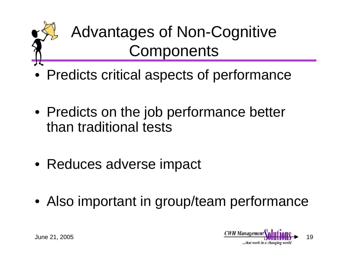

- Predicts critical aspects of performance
- Predicts on the job performance better than traditional tests
- Reduces adverse impact
- Also important in group/team performance

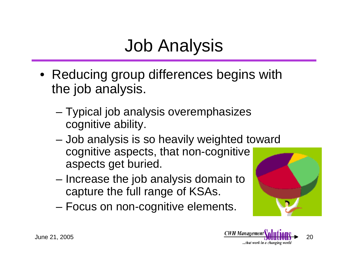### Job Analysis

- Reducing group differences begins with the job analysis.
	- – Typical job analysis overemphasizes cognitive ability.
	- – Job analysis is so heavily weighted toward cognitive aspects, that non-cognitive aspects get buried.
	- – Increase the job analysis domain to capture the full range of KSAs.
	- –Focus on non-cognitive elements.



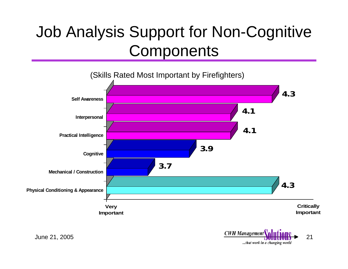#### Job Analysis Support for Non-Cognitive **Components**



...that work in a changing world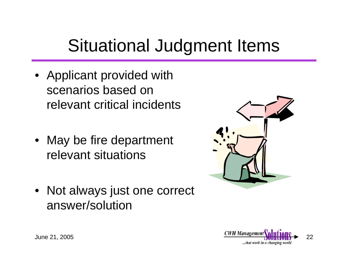### Situational Judgment Items

- Applicant provided with scenarios based on relevant critical incidents
- May be fire department relevant situations
- Not always just one correct answer/solution



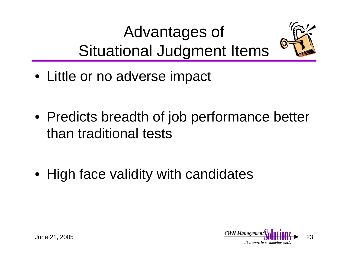### Advantages of Situational Judgment Items



• Little or no adverse impact

• Predicts breadth of job performance better than traditional tests

• High face validity with candidates

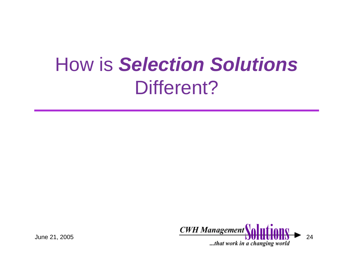# How is *Selection Solutions* Different?

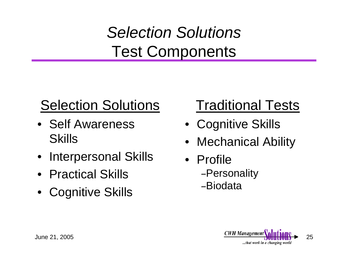#### *Selection Solutions* Test Components

#### Selection Solutions

- Self Awareness Skills
- Interpersonal Skills
- Practical Skills
- •Cognitive Skills

#### Traditional Tests

- Cognitive Skills
- •Mechanical Ability
- Profile–Personality –Biodata

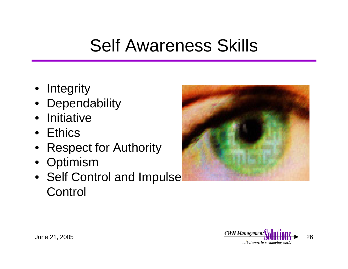### Self Awareness Skills

- Integrity
- Dependability
- Initiative
- Ethics
- Respect for Authority
- Optimism
- Self Control and Impulse **Control**



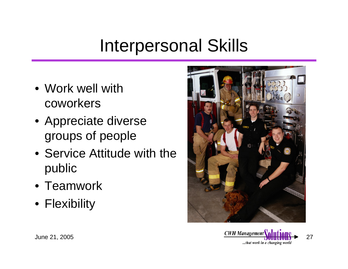### Interpersonal Skills

- Work well with coworkers
- Appreciate diverse groups of people
- Service Attitude with the public
- Teamwork
- Flexibility



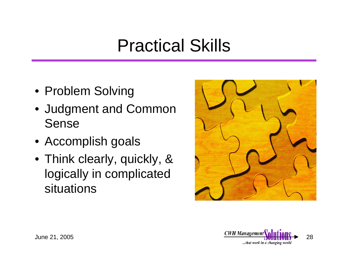### Practical Skills

- Problem Solving
- Judgment and Common Sense
- Accomplish goals
- Think clearly, quickly, & logically in complicated situations



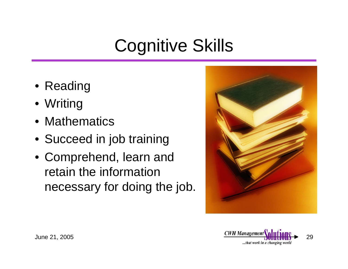## Cognitive Skills

- Reading
- Writing
- Mathematics
- Succeed in job training
- Comprehend, learn and retain the information necessary for doing the job.



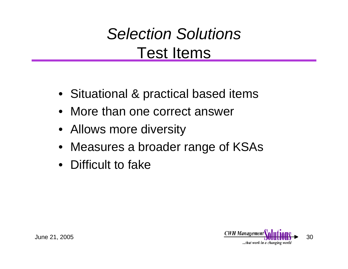#### *Selection Solutions* Test Items

- Situational & practical based items
- More than one correct answer
- Allows more diversity
- Measures a broader range of KSAs
- Difficult to fake

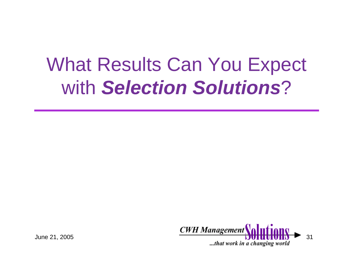# What Results Can You Expect with *Selection Solutions*?

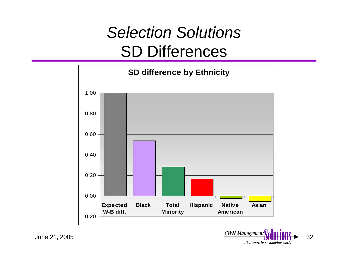#### *Selection Solutions* SD Differences



June 21, 2005  $\frac{CWH\ Management}{D}$  1 ...that work in a changing world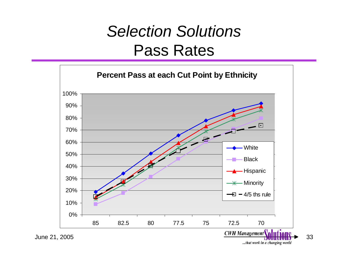#### *Selection Solutions* Pass Rates



...that work in a changing world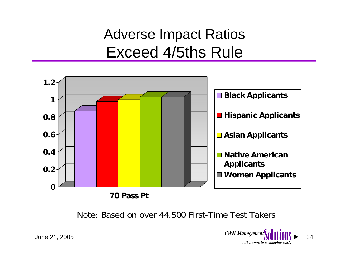#### Adverse Impact Ratios Exceed 4/5ths Rule



Note: Based on over 44,500 First-Time Test Takers



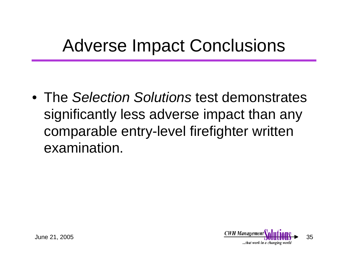### Adverse Impact Conclusions

• The *Selection Solutions* test demonstrates significantly less adverse impact than any comparable entry-level firefighter written examination.

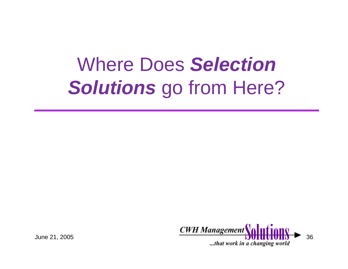# Where Does *Selection Solutions* go from Here?

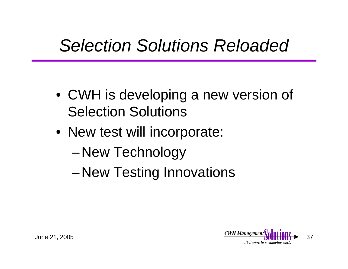### *Selection Solutions Reloaded*

- CWH is developing a new version of Selection Solutions
- New test will incorporate:
	- –New Technology
	- –New Testing Innovations

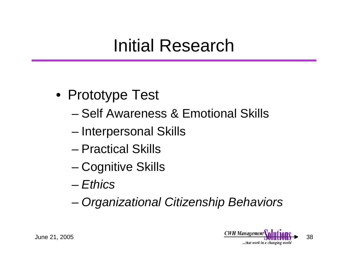### Initial Research

- Prototype Test
	- Self Awareness & Emotional Skills
	- and the state of the state Interpersonal Skills
	- Practical Skills
	- –Cognitive Skills
	- *Ethics*
	- and the state of the state *Organizational Citizenship Behaviors*

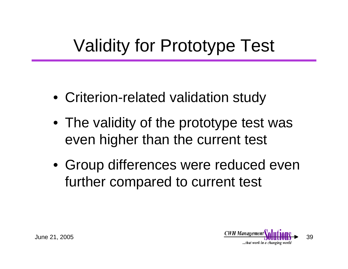## Validity for Prototype Test

- Criterion-related validation study
- The validity of the prototype test was even higher than the current test
- Group differences were reduced even further compared to current test

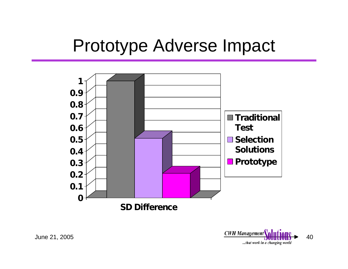#### Prototype Adverse Impact



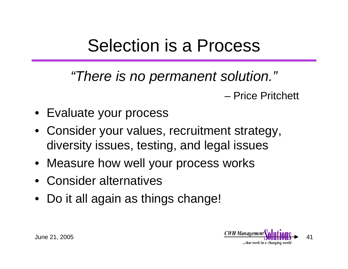#### Selection is a Process

*"There is no permanent solution."* – Price Pritchett

- Evaluate your process
- Consider your values, recruitment strategy, diversity issues, testing, and legal issues
- Measure how well your process works
- Consider alternatives
- Do it all again as things change!

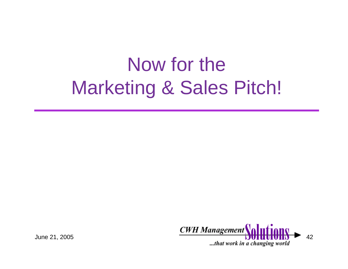# Now for the Marketing & Sales Pitch!

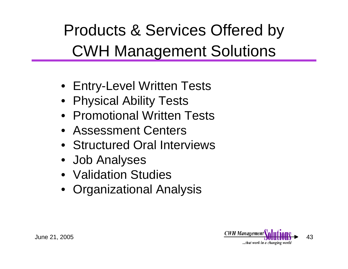Products & Services Offered by CWH Management Solutions

- Entry-Level Written Tests
- Physical Ability Tests
- Promotional Written Tests
- Assessment Centers
- Structured Oral Interviews
- Job Analyses
- Validation Studies
- Organizational Analysis